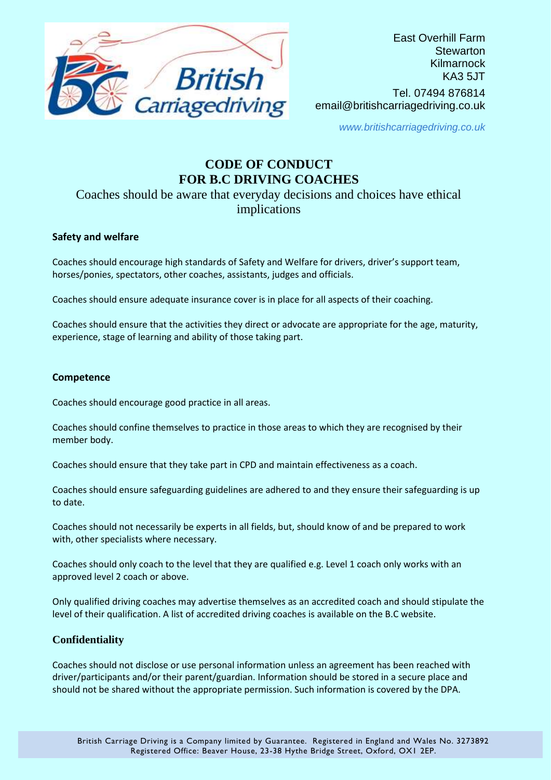

*www.britishcarriagedriving.co.uk*

# **CODE OF CONDUCT FOR B.C DRIVING COACHES**

# Coaches should be aware that everyday decisions and choices have ethical implications

# **Safety and welfare**

Coaches should encourage high standards of Safety and Welfare for drivers, driver's support team, horses/ponies, spectators, other coaches, assistants, judges and officials.

Coaches should ensure adequate insurance cover is in place for all aspects of their coaching.

Coaches should ensure that the activities they direct or advocate are appropriate for the age, maturity, experience, stage of learning and ability of those taking part.

#### **Competence**

Coaches should encourage good practice in all areas.

Coaches should confine themselves to practice in those areas to which they are recognised by their member body.

Coaches should ensure that they take part in CPD and maintain effectiveness as a coach.

Coaches should ensure safeguarding guidelines are adhered to and they ensure their safeguarding is up to date.

Coaches should not necessarily be experts in all fields, but, should know of and be prepared to work with, other specialists where necessary.

Coaches should only coach to the level that they are qualified e.g. Level 1 coach only works with an approved level 2 coach or above.

Only qualified driving coaches may advertise themselves as an accredited coach and should stipulate the level of their qualification. A list of accredited driving coaches is available on the B.C website.

## **Confidentiality**

Coaches should not disclose or use personal information unless an agreement has been reached with driver/participants and/or their parent/guardian. Information should be stored in a secure place and should not be shared without the appropriate permission. Such information is covered by the DPA.